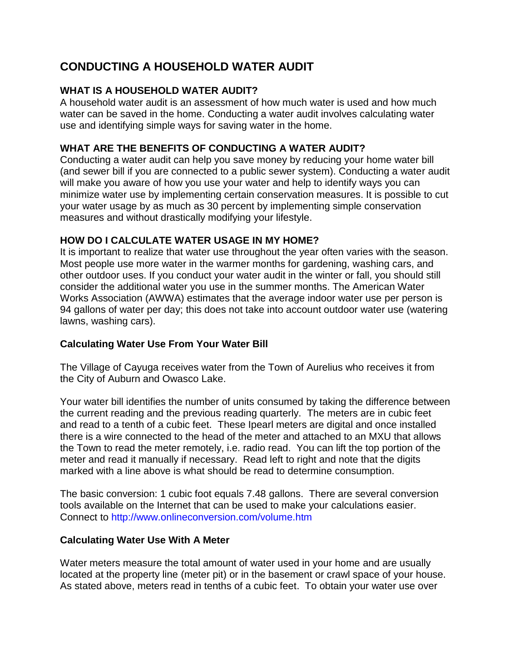# **CONDUCTING A HOUSEHOLD WATER AUDIT**

# **WHAT IS A HOUSEHOLD WATER AUDIT?**

A household water audit is an assessment of how much water is used and how much water can be saved in the home. Conducting a water audit involves calculating water use and identifying simple ways for saving water in the home.

# **WHAT ARE THE BENEFITS OF CONDUCTING A WATER AUDIT?**

Conducting a water audit can help you save money by reducing your home water bill (and sewer bill if you are connected to a public sewer system). Conducting a water audit will make you aware of how you use your water and help to identify ways you can minimize water use by implementing certain conservation measures. It is possible to cut your water usage by as much as 30 percent by implementing simple conservation measures and without drastically modifying your lifestyle.

# **HOW DO I CALCULATE WATER USAGE IN MY HOME?**

It is important to realize that water use throughout the year often varies with the season. Most people use more water in the warmer months for gardening, washing cars, and other outdoor uses. If you conduct your water audit in the winter or fall, you should still consider the additional water you use in the summer months. The American Water Works Association (AWWA) estimates that the average indoor water use per person is 94 gallons of water per day; this does not take into account outdoor water use (watering lawns, washing cars).

# **Calculating Water Use From Your Water Bill**

The Village of Cayuga receives water from the Town of Aurelius who receives it from the City of Auburn and Owasco Lake.

Your water bill identifies the number of units consumed by taking the difference between the current reading and the previous reading quarterly. The meters are in cubic feet and read to a tenth of a cubic feet. These Ipearl meters are digital and once installed there is a wire connected to the head of the meter and attached to an MXU that allows the Town to read the meter remotely, i.e. radio read. You can lift the top portion of the meter and read it manually if necessary. Read left to right and note that the digits marked with a line above is what should be read to determine consumption.

The basic conversion: 1 cubic foot equals 7.48 gallons. There are several conversion tools available on the Internet that can be used to make your calculations easier. Connect to http://www.onlineconversion.com/volume.htm

# **Calculating Water Use With A Meter**

Water meters measure the total amount of water used in your home and are usually located at the property line (meter pit) or in the basement or crawl space of your house. As stated above, meters read in tenths of a cubic feet. To obtain your water use over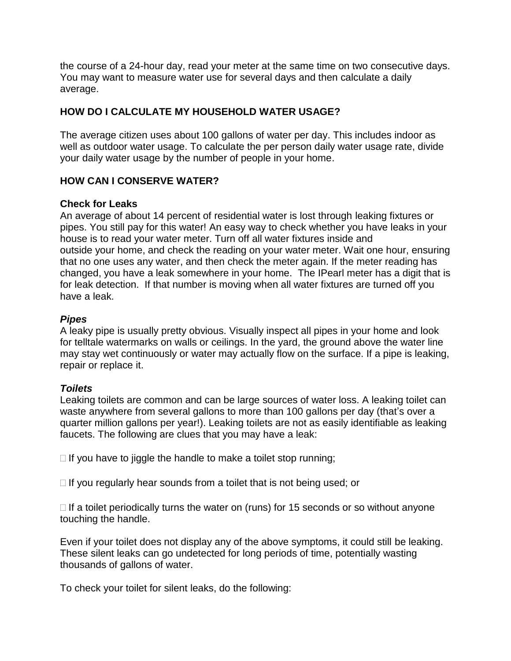the course of a 24-hour day, read your meter at the same time on two consecutive days. You may want to measure water use for several days and then calculate a daily average.

# **HOW DO I CALCULATE MY HOUSEHOLD WATER USAGE?**

The average citizen uses about 100 gallons of water per day. This includes indoor as well as outdoor water usage. To calculate the per person daily water usage rate, divide your daily water usage by the number of people in your home.

### **HOW CAN I CONSERVE WATER?**

### **Check for Leaks**

An average of about 14 percent of residential water is lost through leaking fixtures or pipes. You still pay for this water! An easy way to check whether you have leaks in your house is to read your water meter. Turn off all water fixtures inside and outside your home, and check the reading on your water meter. Wait one hour, ensuring that no one uses any water, and then check the meter again. If the meter reading has changed, you have a leak somewhere in your home. The IPearl meter has a digit that is for leak detection. If that number is moving when all water fixtures are turned off you have a leak.

### *Pipes*

A leaky pipe is usually pretty obvious. Visually inspect all pipes in your home and look for telltale watermarks on walls or ceilings. In the yard, the ground above the water line may stay wet continuously or water may actually flow on the surface. If a pipe is leaking, repair or replace it.

# *Toilets*

Leaking toilets are common and can be large sources of water loss. A leaking toilet can waste anywhere from several gallons to more than 100 gallons per day (that's over a quarter million gallons per year!). Leaking toilets are not as easily identifiable as leaking faucets. The following are clues that you may have a leak:

 $\Box$  If you have to jiggle the handle to make a toilet stop running;

 $\Box$  If you regularly hear sounds from a toilet that is not being used; or

 $\Box$  If a toilet periodically turns the water on (runs) for 15 seconds or so without anyone touching the handle.

Even if your toilet does not display any of the above symptoms, it could still be leaking. These silent leaks can go undetected for long periods of time, potentially wasting thousands of gallons of water.

To check your toilet for silent leaks, do the following: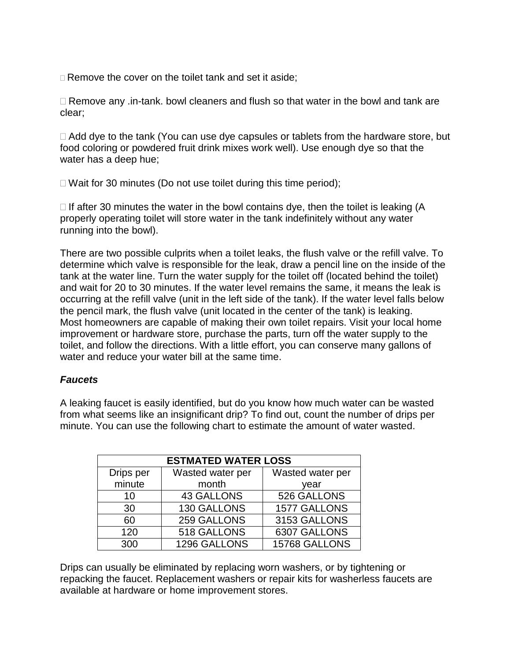□ Remove the cover on the toilet tank and set it aside;

 $\Box$  Remove any .in-tank. bowl cleaners and flush so that water in the bowl and tank are clear;

 $\Box$  Add dye to the tank (You can use dye capsules or tablets from the hardware store, but food coloring or powdered fruit drink mixes work well). Use enough dye so that the water has a deep hue;

 $\Box$  Wait for 30 minutes (Do not use toilet during this time period);

 $\Box$  If after 30 minutes the water in the bowl contains dye, then the toilet is leaking (A properly operating toilet will store water in the tank indefinitely without any water running into the bowl).

There are two possible culprits when a toilet leaks, the flush valve or the refill valve. To determine which valve is responsible for the leak, draw a pencil line on the inside of the tank at the water line. Turn the water supply for the toilet off (located behind the toilet) and wait for 20 to 30 minutes. If the water level remains the same, it means the leak is occurring at the refill valve (unit in the left side of the tank). If the water level falls below the pencil mark, the flush valve (unit located in the center of the tank) is leaking. Most homeowners are capable of making their own toilet repairs. Visit your local home improvement or hardware store, purchase the parts, turn off the water supply to the toilet, and follow the directions. With a little effort, you can conserve many gallons of water and reduce your water bill at the same time.

# *Faucets*

A leaking faucet is easily identified, but do you know how much water can be wasted from what seems like an insignificant drip? To find out, count the number of drips per minute. You can use the following chart to estimate the amount of water wasted.

| <b>ESTMATED WATER LOSS</b> |                   |                  |  |
|----------------------------|-------------------|------------------|--|
| Drips per                  | Wasted water per  | Wasted water per |  |
| minute                     | month             | year             |  |
| 10                         | <b>43 GALLONS</b> | 526 GALLONS      |  |
| 30                         | 130 GALLONS       | 1577 GALLONS     |  |
| 60                         | 259 GALLONS       | 3153 GALLONS     |  |
| 120                        | 518 GALLONS       | 6307 GALLONS     |  |
| 300                        | 1296 GALLONS      | 15768 GALLONS    |  |

Drips can usually be eliminated by replacing worn washers, or by tightening or repacking the faucet. Replacement washers or repair kits for washerless faucets are available at hardware or home improvement stores.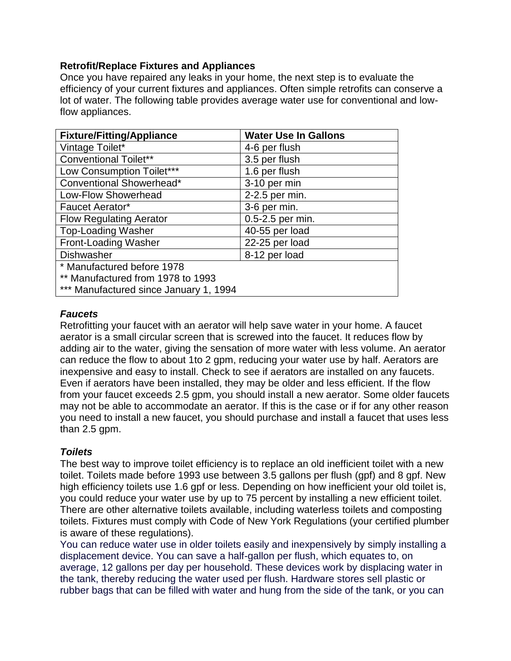#### **Retrofit/Replace Fixtures and Appliances**

Once you have repaired any leaks in your home, the next step is to evaluate the efficiency of your current fixtures and appliances. Often simple retrofits can conserve a lot of water. The following table provides average water use for conventional and lowflow appliances.

| <b>Fixture/Fitting/Appliance</b>       | <b>Water Use In Gallons</b> |  |  |
|----------------------------------------|-----------------------------|--|--|
| Vintage Toilet*                        | 4-6 per flush               |  |  |
| <b>Conventional Toilet**</b>           | 3.5 per flush               |  |  |
| Low Consumption Toilet***              | 1.6 per flush               |  |  |
| Conventional Showerhead*               | 3-10 per min                |  |  |
| Low-Flow Showerhead                    | 2-2.5 per min.              |  |  |
| Faucet Aerator*                        | 3-6 per min.                |  |  |
| <b>Flow Regulating Aerator</b>         | 0.5-2.5 per min.            |  |  |
| <b>Top-Loading Washer</b>              | 40-55 per load              |  |  |
| <b>Front-Loading Washer</b>            | 22-25 per load              |  |  |
| <b>Dishwasher</b>                      | 8-12 per load               |  |  |
| * Manufactured before 1978             |                             |  |  |
| ** Manufactured from 1978 to 1993      |                             |  |  |
| *** Manufactured since January 1, 1994 |                             |  |  |

#### *Faucets*

Retrofitting your faucet with an aerator will help save water in your home. A faucet aerator is a small circular screen that is screwed into the faucet. It reduces flow by adding air to the water, giving the sensation of more water with less volume. An aerator can reduce the flow to about 1to 2 gpm, reducing your water use by half. Aerators are inexpensive and easy to install. Check to see if aerators are installed on any faucets. Even if aerators have been installed, they may be older and less efficient. If the flow from your faucet exceeds 2.5 gpm, you should install a new aerator. Some older faucets may not be able to accommodate an aerator. If this is the case or if for any other reason you need to install a new faucet, you should purchase and install a faucet that uses less than 2.5 gpm.

#### *Toilets*

The best way to improve toilet efficiency is to replace an old inefficient toilet with a new toilet. Toilets made before 1993 use between 3.5 gallons per flush (gpf) and 8 gpf. New high efficiency toilets use 1.6 gpf or less. Depending on how inefficient your old toilet is, you could reduce your water use by up to 75 percent by installing a new efficient toilet. There are other alternative toilets available, including waterless toilets and composting toilets. Fixtures must comply with Code of New York Regulations (your certified plumber is aware of these regulations).

You can reduce water use in older toilets easily and inexpensively by simply installing a displacement device. You can save a half-gallon per flush, which equates to, on average, 12 gallons per day per household. These devices work by displacing water in the tank, thereby reducing the water used per flush. Hardware stores sell plastic or rubber bags that can be filled with water and hung from the side of the tank, or you can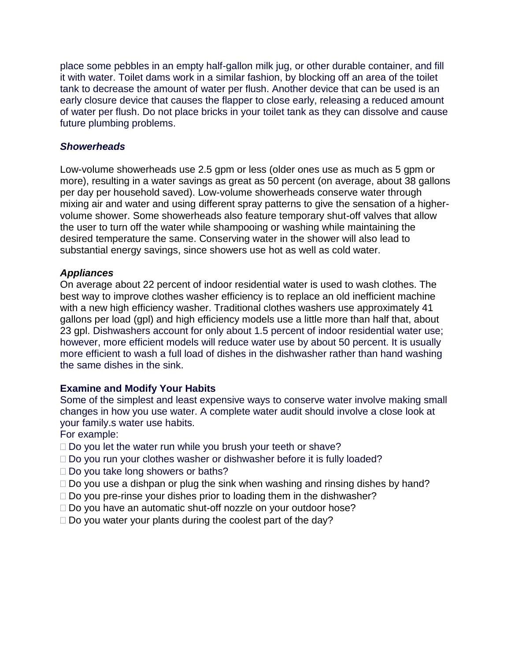place some pebbles in an empty half-gallon milk jug, or other durable container, and fill it with water. Toilet dams work in a similar fashion, by blocking off an area of the toilet tank to decrease the amount of water per flush. Another device that can be used is an early closure device that causes the flapper to close early, releasing a reduced amount of water per flush. Do not place bricks in your toilet tank as they can dissolve and cause future plumbing problems.

#### *Showerheads*

Low-volume showerheads use 2.5 gpm or less (older ones use as much as 5 gpm or more), resulting in a water savings as great as 50 percent (on average, about 38 gallons per day per household saved). Low-volume showerheads conserve water through mixing air and water and using different spray patterns to give the sensation of a highervolume shower. Some showerheads also feature temporary shut-off valves that allow the user to turn off the water while shampooing or washing while maintaining the desired temperature the same. Conserving water in the shower will also lead to substantial energy savings, since showers use hot as well as cold water.

#### *Appliances*

On average about 22 percent of indoor residential water is used to wash clothes. The best way to improve clothes washer efficiency is to replace an old inefficient machine with a new high efficiency washer. Traditional clothes washers use approximately 41 gallons per load (gpl) and high efficiency models use a little more than half that, about 23 gpl. Dishwashers account for only about 1.5 percent of indoor residential water use; however, more efficient models will reduce water use by about 50 percent. It is usually more efficient to wash a full load of dishes in the dishwasher rather than hand washing the same dishes in the sink.

#### **Examine and Modify Your Habits**

Some of the simplest and least expensive ways to conserve water involve making small changes in how you use water. A complete water audit should involve a close look at your family.s water use habits.

For example:

- $\Box$  Do you let the water run while you brush your teeth or shave?
- □ Do you run your clothes washer or dishwasher before it is fully loaded?
- □ Do you take long showers or baths?
- $\Box$  Do you use a dishpan or plug the sink when washing and rinsing dishes by hand?
- $\Box$  Do you pre-rinse your dishes prior to loading them in the dishwasher?
- □ Do you have an automatic shut-off nozzle on your outdoor hose?
- $\Box$  Do you water your plants during the coolest part of the day?